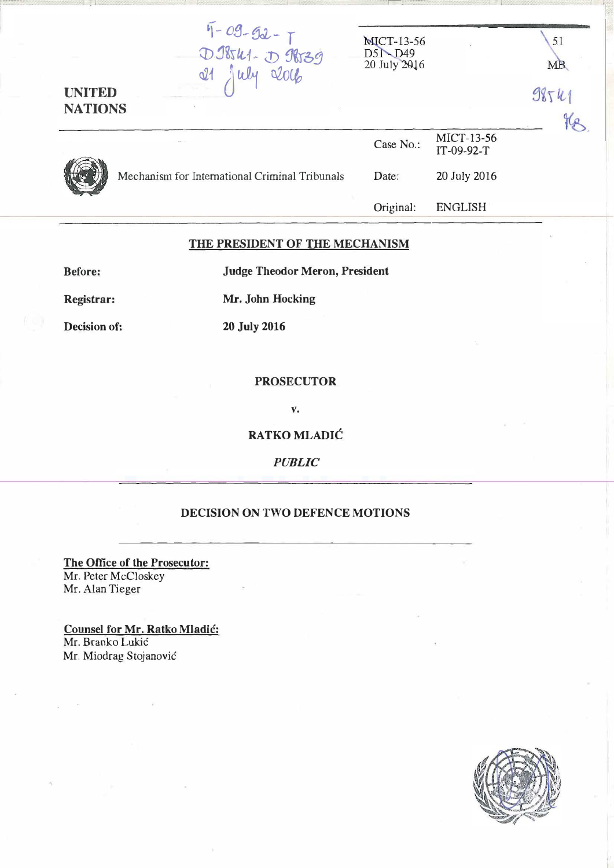| <b>UNITED</b><br><b>NATIONS</b> | $\frac{47 - 09 - 92 - 7}{008841 - 09839}$<br>$\mathcal{A}_{\mathcal{S}}$ | <b>MICT-13-56</b><br>$D5 \rightarrow D49$<br>20 July 2016 | $\ddot{\phantom{a}}$ | 51<br><b>MB</b><br>9854  |  |
|---------------------------------|--------------------------------------------------------------------------|-----------------------------------------------------------|----------------------|--------------------------|--|
|                                 |                                                                          |                                                           | Case No.:            | MICT-13-56<br>IT-09-92-T |  |
|                                 |                                                                          | Mechanism for International Criminal Tribunals            | Date:                | 20 July 2016             |  |
|                                 |                                                                          |                                                           | Original:            | <b>ENGLISH</b>           |  |

## THE PRESIDENT OF THE MECHANISM

Before: Judge Theodor Meron, President

Registrar: Mr. John Hocking

Decision of: 20 July 2016

## PROSECUTOR

v.

RATKO MLADIC

PUBLIC

## DECISION ON TWO DEFENCE MOTIONS

The Office of the Prosecutor: Mr. Peter McCloskey Mr. Alan Tieger

Counsel for Mr. Ratko Mladic: Mr. Branko Lukić Mr. Miodrag Stojanović

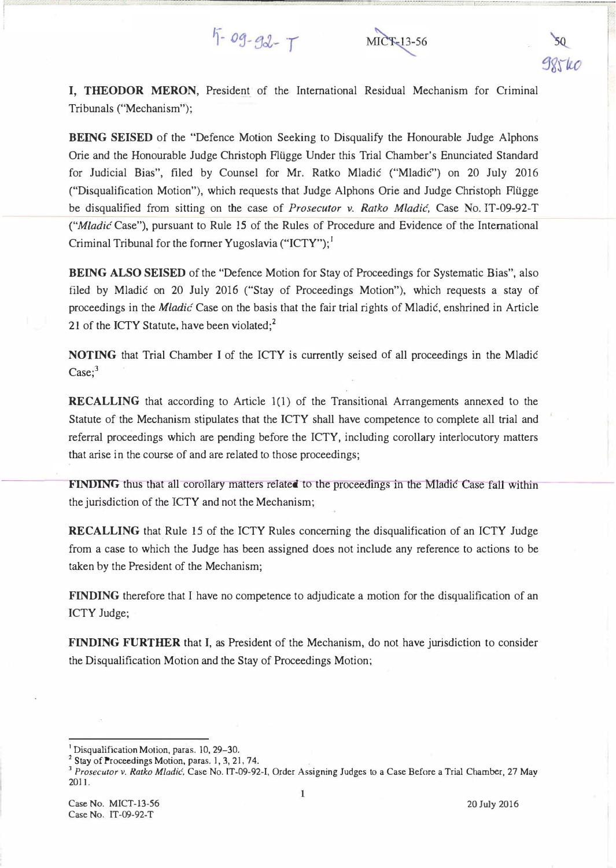## $5 - 09 - 92 - 7$



I, THEODOR MERON, President of the International Residual Mechanism for Criminal Tribunals ("Mechanism");

BEING SEISED of the "Defence Motion Seeking to Disqualify the Honourable Judge Alphons Orie and the Honourable Judge Christoph Fliigge Under this Trial Chamber's Enunciated Standard for Judicial Bias", filed by Counsel for Mr. Ratko Mladic ("Mladic") on 20 July 2016 ("Disqualification Motion"), which requests that Judge Alphons Orie and Judge Christoph Flilgge be disqualified from sitting on the case of *Prosecutor v. Ratko Mladić*, Case No. IT-09-92-T ("M/adic Case"), pursuant to Rule 15 of the Rules of Procedure and Evidence of the International Criminal Tribunal for the former Yugoslavia ("ICTY");<sup>1</sup>

BEING ALSO SEISED of the "Defence Motion for Stay of Proceedings for Systematic Bias", also filed by Mladic on 20 July 2016 ("Stay of Proceedings Motion"), which requests a stay of proceedings in the Miadic Case on the basis that the fair trial rights of Mladic, enshrined in Article 21 of the ICTY Statute, have been violated; $2$ 

NOTING that Trial Chamber I of the ICTY is currently seised of all proceedings in the Mladic  $\text{Case}$ ;<sup>3</sup>

RECALLING that according to Article 1(1) of the Transitional Arrangements annexed to the Statute of the Mechanism stipulates that the ICTY shall have competence to complete all trial and referral proceedings which are pending before the ICTY, including corollary interlocutory matters tbat arise in the course of and are related to those proceedings;

**FINDING** thus that all corollary matters related to the proceedings in the Mladic Case fall within the jurisdiction of the ICTY and not the Mechanism;

RECALLING that Rule 15 of the ICTY Rules concerning the disqualification of an ICTY Judge from a case to which the Judge has been assigned does not include any reference to actions to be taken by the President of the Mechanism;

FINDING therefore that I have no competence to adjudicate a motion for the disqualification of an ICTY Judge;

FINDING FURTHER that I, as President of the Mechanism, do not have jurisdiction to consider the Disqualification Motion and the Stay of Proceedings Motion;

<sup>&</sup>lt;sup>1</sup> Disqualification Motion, paras. 10, 29-30.

<sup>&</sup>lt;sup>2</sup> Stay of Proceedings Motion, paras. 1, 3, 21, 74.

<sup>&</sup>lt;sup>3</sup> Prosecutor v. Ratko Mladić, Case No. IT-09-92-I, Order Assigning Judges to a Case Before a Trial Chamber, 27 May 2011.